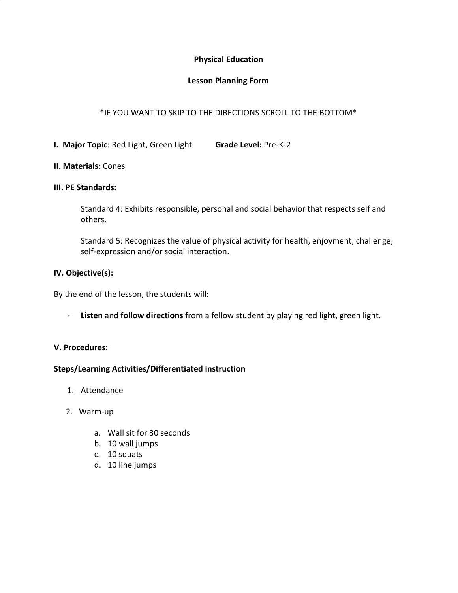## **Physical Education**

## **Lesson Planning Form**

# \*IF YOU WANT TO SKIP TO THE DIRECTIONS SCROLL TO THE BOTTOM\*

**I. Major Topic**: Red Light, Green Light **Grade Level:** Pre-K-2

## **II**. **Materials**: Cones

#### **III. PE Standards:**

Standard 4: Exhibits responsible, personal and social behavior that respects self and others.

Standard 5: Recognizes the value of physical activity for health, enjoyment, challenge, self-expression and/or social interaction.

## **IV. Objective(s):**

By the end of the lesson, the students will:

- **Listen** and **follow directions** from a fellow student by playing red light, green light.

# **V. Procedures:**

#### **Steps/Learning Activities/Differentiated instruction**

- 1. Attendance
- 2. Warm-up
	- a. Wall sit for 30 seconds
	- b. 10 wall jumps
	- c. 10 squats
	- d. 10 line jumps